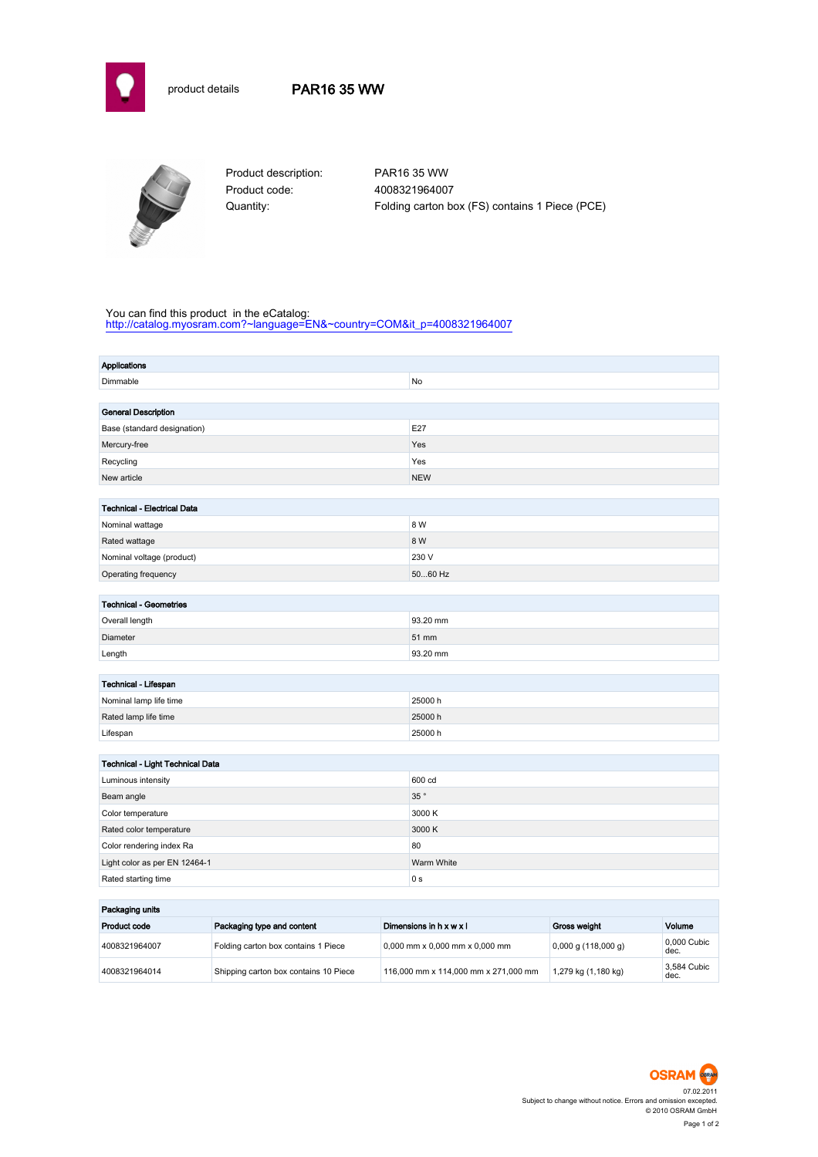

# product details PAR16 35 WW



Product code: 4008321964007

Product description: PAR16 35 WW Quantity: Folding carton box (FS) contains 1 Piece (PCE)

### You can find this product in the eCatalog:

[http://catalog.myosram.com?~language=EN&~country=COM&it\\_p=4008321964007](http://catalog.myosram.com?~language=EN&~country=COM&it_p=4008321964007)

| <b>Applications</b>                |                |  |  |  |
|------------------------------------|----------------|--|--|--|
| Dimmable                           | No             |  |  |  |
|                                    |                |  |  |  |
| <b>General Description</b>         |                |  |  |  |
| Base (standard designation)        | E27            |  |  |  |
| Mercury-free                       | Yes            |  |  |  |
| Recycling                          | Yes            |  |  |  |
| New article                        | <b>NEW</b>     |  |  |  |
|                                    |                |  |  |  |
| <b>Technical - Electrical Data</b> |                |  |  |  |
| Nominal wattage                    | 8 W            |  |  |  |
| Rated wattage                      | 8 W            |  |  |  |
| Nominal voltage (product)          | 230 V          |  |  |  |
| Operating frequency                | 5060 Hz        |  |  |  |
|                                    |                |  |  |  |
| <b>Technical - Geometries</b>      |                |  |  |  |
| Overall length                     | 93.20 mm       |  |  |  |
| Diameter                           | 51 mm          |  |  |  |
| Length                             | 93.20 mm       |  |  |  |
|                                    |                |  |  |  |
| Technical - Lifespan               |                |  |  |  |
| Nominal lamp life time             | 25000h         |  |  |  |
| Rated lamp life time               | 25000 h        |  |  |  |
| Lifespan                           | 25000 h        |  |  |  |
|                                    |                |  |  |  |
| Technical - Light Technical Data   |                |  |  |  |
| Luminous intensity                 | 600 cd         |  |  |  |
| Beam angle                         | 35°            |  |  |  |
| Color temperature                  | 3000 K         |  |  |  |
| Rated color temperature            | 3000 K         |  |  |  |
| Color rendering index Ra           | 80             |  |  |  |
| Light color as per EN 12464-1      | Warm White     |  |  |  |
| Rated starting time                | 0 <sub>s</sub> |  |  |  |
|                                    |                |  |  |  |
| Packaging units                    |                |  |  |  |

| Product code  | Packaging type and content            | Dimensions in h x w x l              | Gross weight          | Volume              |  |
|---------------|---------------------------------------|--------------------------------------|-----------------------|---------------------|--|
| 4008321964007 | Folding carton box contains 1 Piece   | $0.000$ mm x 0.000 mm x 0.000 mm     | $0,000$ g (118,000 g) | 0.000 Cubic<br>dec. |  |
| 4008321964014 | Shipping carton box contains 10 Piece | 116,000 mm x 114,000 mm x 271,000 mm | 1,279 kg (1,180 kg)   | 3.584 Cubic<br>dec. |  |